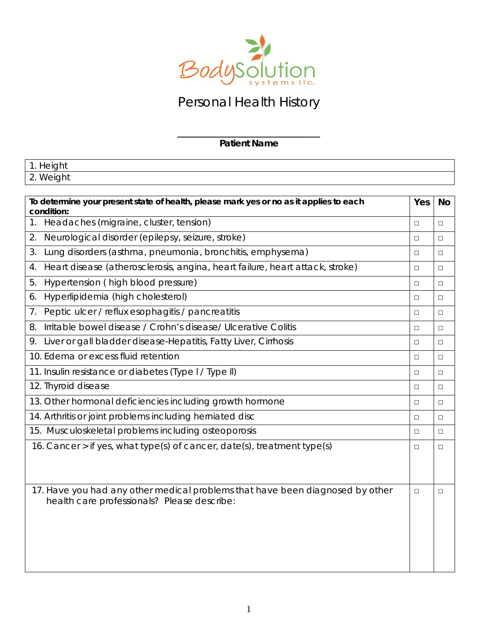

# Personal Health History

#### \_\_\_\_\_\_\_\_\_\_\_\_\_\_\_\_\_\_\_\_\_\_\_\_\_ **Patient Name**

| 1. Height                                                                                            |        |           |  |  |
|------------------------------------------------------------------------------------------------------|--------|-----------|--|--|
| 2. Weight                                                                                            |        |           |  |  |
|                                                                                                      |        |           |  |  |
| To determine your present state of health, please mark yes or no as it applies to each<br>condition: | Yes    | <b>No</b> |  |  |
| 1. Headaches (migraine, cluster, tension)                                                            | $\Box$ | $\Box$    |  |  |
| 2.<br>Neurological disorder (epilepsy, seizure, stroke)                                              | $\Box$ | П         |  |  |
| Lung disorders (asthma, pneumonia, bronchitis, emphysema)<br>3.                                      | □      | $\Box$    |  |  |
| Heart disease (atherosclerosis, angina, heart failure, heart attack, stroke)<br>4.                   | $\Box$ | $\Box$    |  |  |
| 5.<br>Hypertension (high blood pressure)                                                             | $\Box$ | $\Box$    |  |  |
| Hyperlipidemia (high cholesterol)<br>6.                                                              | П      | $\Box$    |  |  |
| 7. Peptic ulcer / reflux esophagitis / pancreatitis                                                  | $\Box$ | П         |  |  |
| Irritable bowel disease / Crohn's disease/ Ulcerative Colitis<br>8.                                  | $\Box$ | $\Box$    |  |  |
| 9. Liver or gall bladder disease-Hepatitis, Fatty Liver, Cirrhosis                                   | $\Box$ | $\Box$    |  |  |
| 10. Edema or excess fluid retention                                                                  |        |           |  |  |
| 11. Insulin resistance or diabetes (Type I / Type II)                                                |        |           |  |  |
| 12. Thyroid disease                                                                                  |        |           |  |  |
| 13. Other hormonal deficiencies including growth hormone                                             |        |           |  |  |
| 14. Arthritis or joint problems including herniated disc                                             | $\Box$ | П         |  |  |
| 15. Musculoskeletal problems including osteoporosis                                                  |        |           |  |  |
| 16. Cancer > if yes, what type(s) of cancer, date(s), treatment type(s)                              |        |           |  |  |
|                                                                                                      |        |           |  |  |
|                                                                                                      |        |           |  |  |
| 17. Have you had any other medical problems that have been diagnosed by other                        | $\Box$ | $\Box$    |  |  |
| health care professionals? Please describe:                                                          |        |           |  |  |
|                                                                                                      |        |           |  |  |
|                                                                                                      |        |           |  |  |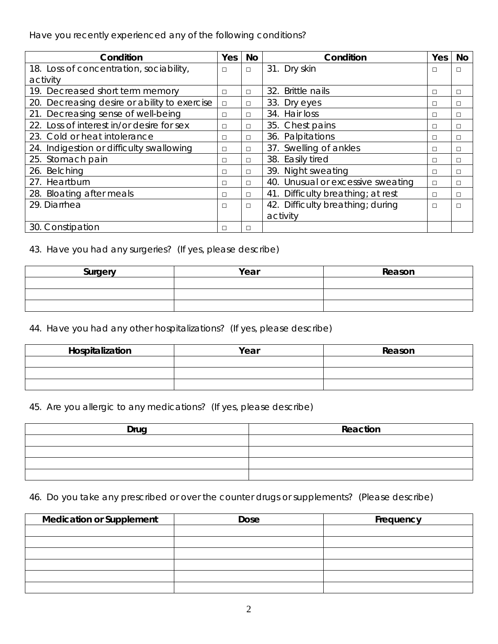Have you recently experienced any of the following conditions?

| Condition                                    | Yes | No     | Condition                         | Yes    | No |
|----------------------------------------------|-----|--------|-----------------------------------|--------|----|
| 18. Loss of concentration, sociability,      | □   | $\Box$ | 31. Dry skin                      | П      | П  |
| activity                                     |     |        |                                   |        |    |
| 19. Decreased short term memory              | П   | п      | 32. Brittle nails                 | П      | □  |
| 20. Decreasing desire or ability to exercise | □   | ⊔      | 33. Dry eyes                      | □      | □  |
| 21. Decreasing sense of well-being           | □   | □      | 34. Hair loss                     | □      | □  |
| 22. Loss of interest in/or desire for sex    | □   | □      | 35. Chest pains                   | □      | □  |
| 23. Cold or heat intolerance                 | □   | □      | 36. Palpitations                  | □      | □  |
| 24. Indigestion or difficulty swallowing     | □   | п      | 37. Swelling of ankles            | □      | □  |
| 25. Stomach pain                             | □   | П      | 38. Easily tired                  | □      | □  |
| 26. Belching                                 | □   | □      | 39. Night sweating                | □      | □  |
| 27. Heartburn                                | П   | п      | 40. Unusual or excessive sweating | П      | П  |
| 28. Bloating after meals                     | □   | □      | 41. Difficulty breathing; at rest | □      | □  |
| 29. Diarrhea                                 | □   | $\Box$ | 42. Difficulty breathing; during  | $\Box$ | □  |
|                                              |     |        | activity                          |        |    |
| 30. Constipation                             | П   | П      |                                   |        |    |

43. Have you had any surgeries? (If yes, please describe)

| Surgery | Year | Reason |
|---------|------|--------|
|         |      |        |
|         |      |        |
|         |      |        |

44. Have you had any other hospitalizations? (If yes, please describe)

| Hospitalization | Year | Reason |
|-----------------|------|--------|
|                 |      |        |
|                 |      |        |
|                 |      |        |

45. Are you allergic to any medications? (If yes, please describe)

| Drug | Reaction |
|------|----------|
|      |          |
|      |          |
|      |          |
|      |          |

46. Do you take any prescribed or over the counter drugs or supplements? (Please describe)

| <b>Medication or Supplement</b> | <b>Dose</b> | Frequency |
|---------------------------------|-------------|-----------|
|                                 |             |           |
|                                 |             |           |
|                                 |             |           |
|                                 |             |           |
|                                 |             |           |
|                                 |             |           |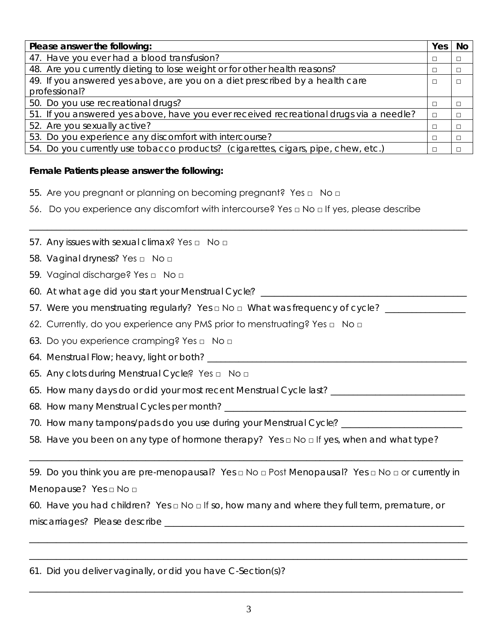| Please answer the following:                                                           | Yes    | <b>No</b> |
|----------------------------------------------------------------------------------------|--------|-----------|
| 47. Have you ever had a blood transfusion?                                             | П      | $\Box$    |
| 48. Are you currently dieting to lose weight or for other health reasons?              | □      | $\Box$    |
| 49. If you answered yes above, are you on a diet prescribed by a health care           | $\Box$ | $\Box$    |
| professional?                                                                          |        |           |
| 50. Do you use recreational drugs?                                                     | П      | П         |
| 51. If you answered yes above, have you ever received recreational drugs via a needle? | $\Box$ | $\Box$    |
| 52. Are you sexually active?                                                           | П      | $\Box$    |
| 53. Do you experience any discomfort with intercourse?                                 | □      | $\Box$    |
| 54. Do you currently use tobacco products? (cigarettes, cigars, pipe, chew, etc.)      | П      | П         |

\_\_\_\_\_\_\_\_\_\_\_\_\_\_\_\_\_\_\_\_\_\_\_\_\_\_\_\_\_\_\_\_\_\_\_\_\_\_\_\_\_\_\_\_\_\_\_\_\_\_\_\_\_\_\_\_\_\_\_\_\_\_\_\_\_\_\_\_\_\_\_\_\_\_\_\_\_\_\_\_\_\_\_\_\_\_\_\_\_\_\_\_\_\_\_\_\_\_

### **Female Patients please answer the following:**

- 55. Are you pregnant or planning on becoming pregnant? Yes □ No □
- 56. Do you experience any discomfort with intercourse? Yes □ No □ If yes, please describe
- 57. Any issues with sexual climax? Yes □ No □
- 58. Vaginal dryness? Yes □ No □
- 59. Vaginal discharge? Yes □ No □
- 60. At what age did you start your Menstrual Cycle? \_\_\_\_\_\_\_\_\_\_\_\_\_\_\_\_\_\_\_\_\_\_\_\_\_\_\_\_
- 57. Were you menstruating regularly? Yes □ No □ What was frequency of cycle? \_\_\_\_\_\_\_\_\_\_\_
- 62. Currently, do you experience any PMS prior to menstruating? Yes □ No □
- 63. Do you experience cramping? Yes □ No □
- 64. Menstrual Flow; heavy, light or both? \_\_\_\_\_\_\_\_\_\_\_\_\_\_\_\_\_\_\_\_\_\_\_\_\_\_\_\_\_\_\_\_\_\_\_\_\_\_\_\_\_\_\_\_\_\_\_\_\_\_\_\_\_\_\_\_\_\_
- 65. Any clots during Menstrual Cycle? Yes □ No □
- 65. How many days do or did your most recent Menstrual Cycle last? \_\_\_\_\_\_\_\_\_\_\_\_\_\_\_\_\_\_\_\_\_\_\_\_\_\_\_\_\_\_
- 68. How many Menstrual Cycles per month? \_\_\_\_\_\_\_\_\_\_\_\_\_\_\_\_\_\_\_\_\_\_\_\_\_\_\_\_\_\_\_\_\_\_\_\_\_\_\_\_\_\_\_\_\_\_\_\_\_\_\_\_\_\_
- 70. How many tampons/pads do you use during your Menstrual Cycle? \_\_\_\_\_\_\_\_\_\_\_\_\_\_
- 58. Have you been on any type of hormone therapy? Yes □ No □ If yes, when and what type?

59. Do you think you are pre-menopausal? Yes □ No □ Post Menopausal? Yes □ No □ or currently in Menopause? Yes □ No □

\_\_\_\_\_\_\_\_\_\_\_\_\_\_\_\_\_\_\_\_\_\_\_\_\_\_\_\_\_\_\_\_\_\_\_\_\_\_\_\_\_\_\_\_\_\_\_\_\_\_\_\_\_\_\_\_\_\_\_\_\_\_\_\_\_\_\_\_\_\_\_\_\_\_\_\_\_\_\_\_\_\_\_\_\_\_\_\_\_\_\_\_\_\_\_\_\_\_

\_\_\_\_\_\_\_\_\_\_\_\_\_\_\_\_\_\_\_\_\_\_\_\_\_\_\_\_\_\_\_\_\_\_\_\_\_\_\_\_\_\_\_\_\_\_\_\_\_\_\_\_\_\_\_\_\_\_\_\_\_\_\_\_\_\_\_\_\_\_\_\_\_\_\_\_\_\_\_\_\_\_\_\_\_\_\_\_\_\_\_\_\_\_\_\_\_\_

\_\_\_\_\_\_\_\_\_\_\_\_\_\_\_\_\_\_\_\_\_\_\_\_\_\_\_\_\_\_\_\_\_\_\_\_\_\_\_\_\_\_\_\_\_\_\_\_\_\_\_\_\_\_\_\_\_\_\_\_\_\_\_\_\_\_\_\_\_\_\_\_\_\_\_\_\_\_\_\_\_\_\_\_\_\_\_\_\_\_\_\_\_\_\_\_\_

60. Have you had children? Yes □ No □ If so, how many and where they full term, premature, or miscarriages? Please describe \_\_\_\_\_\_\_\_\_\_\_\_\_\_\_\_\_\_\_\_\_\_\_\_\_\_\_\_\_\_\_\_\_\_\_\_\_\_\_\_\_\_\_\_\_\_\_\_\_\_\_\_\_\_\_\_\_\_\_\_\_\_\_\_\_\_\_

61. Did you deliver vaginally, or did you have C-Section(s)?

\_\_\_\_\_\_\_\_\_\_\_\_\_\_\_\_\_\_\_\_\_\_\_\_\_\_\_\_\_\_\_\_\_\_\_\_\_\_\_\_\_\_\_\_\_\_\_\_\_\_\_\_\_\_\_\_\_\_\_\_\_\_\_\_\_\_\_\_\_\_\_\_\_\_\_\_\_\_\_\_\_\_\_\_\_\_\_\_\_\_\_\_\_\_\_\_\_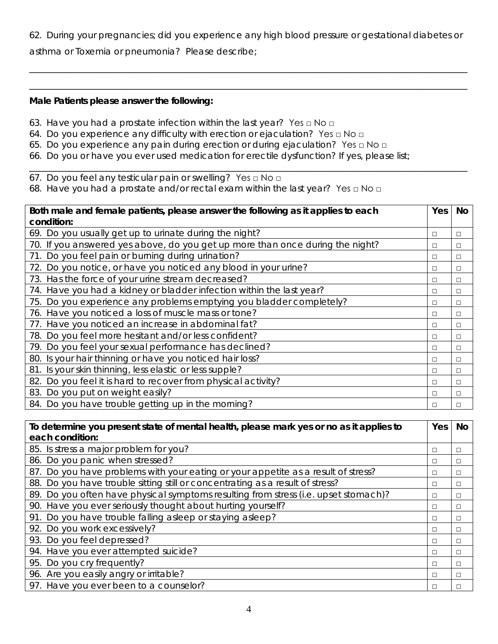62. During your pregnancies; did you experience any high blood pressure or gestational diabetes or

\_\_\_\_\_\_\_\_\_\_\_\_\_\_\_\_\_\_\_\_\_\_\_\_\_\_\_\_\_\_\_\_\_\_\_\_\_\_\_\_\_\_\_\_\_\_\_\_\_\_\_\_\_\_\_\_\_\_\_\_\_\_\_\_\_\_\_\_\_\_\_\_\_\_\_\_\_\_\_\_\_\_\_\_\_\_\_\_\_\_\_\_\_\_\_\_\_\_

\_\_\_\_\_\_\_\_\_\_\_\_\_\_\_\_\_\_\_\_\_\_\_\_\_\_\_\_\_\_\_\_\_\_\_\_\_\_\_\_\_\_\_\_\_\_\_\_\_\_\_\_\_\_\_\_\_\_\_\_\_\_\_\_\_\_\_\_\_\_\_\_\_\_\_\_\_\_\_\_\_\_\_\_\_\_\_\_\_\_\_\_\_\_\_\_\_\_

\_\_\_\_\_\_\_\_\_\_\_\_\_\_\_\_\_\_\_\_\_\_\_\_\_\_\_\_\_\_\_\_\_\_\_\_\_\_\_\_\_\_\_\_\_\_\_\_\_\_\_\_\_\_\_\_\_\_\_\_\_\_\_\_\_\_\_\_\_\_\_\_\_\_\_\_\_\_\_\_\_\_\_\_\_\_\_\_\_\_\_\_\_\_\_\_\_\_

asthma or Toxemia or pneumonia? Please describe;

#### **Male Patients please answer the following:**

- 63. Have you had a prostate infection within the last year? Yes  $\Box$  No  $\Box$
- 64. Do you experience any difficulty with erection or ejaculation? Yes □ No □
- 65. Do you experience any pain during erection or during ejaculation? Yes □ No □
- 66. Do you or have you ever used medication for erectile dysfunction? If yes, please list;
- 67. Do you feel any testicular pain or swelling? Yes □ No □
- 68. Have you had a prostate and/or rectal exam within the last year? Yes □ No □

| Both male and female patients, please answer the following as it applies to each |   |   |  |  |  |
|----------------------------------------------------------------------------------|---|---|--|--|--|
| condition:                                                                       |   |   |  |  |  |
| 69. Do you usually get up to urinate during the night?                           | □ | □ |  |  |  |
| 70. If you answered yes above, do you get up more than once during the night?    | □ | □ |  |  |  |
| 71. Do you feel pain or burning during urination?                                | ◻ | □ |  |  |  |
| 72. Do you notice, or have you noticed any blood in your urine?                  | ◻ | □ |  |  |  |
| 73. Has the force of your urine stream decreased?                                | □ | □ |  |  |  |
| 74. Have you had a kidney or bladder infection within the last year?             | □ | □ |  |  |  |
| 75. Do you experience any problems emptying you bladder completely?              | □ | □ |  |  |  |
| 76. Have you noticed a loss of muscle mass or tone?                              | □ | □ |  |  |  |
| 77. Have you noticed an increase in abdominal fat?                               | □ | □ |  |  |  |
| 78. Do you feel more hesitant and/or less confident?                             | □ | □ |  |  |  |
| 79. Do you feel your sexual performance has declined?                            | ◻ | □ |  |  |  |
| 80. Is your hair thinning or have you noticed hair loss?                         | □ | □ |  |  |  |
| 81. Is your skin thinning, less elastic or less supple?                          | □ | □ |  |  |  |
| 82. Do you feel it is hard to recover from physical activity?                    | □ | □ |  |  |  |
| 83. Do you put on weight easily?                                                 |   |   |  |  |  |
| 84. Do you have trouble getting up in the morning?                               | □ | □ |  |  |  |

| To determine you present state of mental health, please mark yes or no as it applies to |   |        |  |  |  |
|-----------------------------------------------------------------------------------------|---|--------|--|--|--|
| each condition:                                                                         |   |        |  |  |  |
| 85. Is stress a major problem for you?                                                  | □ | □      |  |  |  |
| 86. Do you panic when stressed?                                                         | □ | □      |  |  |  |
| 87. Do you have problems with your eating or your appetite as a result of stress?       | □ | □      |  |  |  |
| 88. Do you have trouble sitting still or concentrating as a result of stress?           | □ | $\Box$ |  |  |  |
| 89. Do you often have physical symptoms resulting from stress (i.e. upset stomach)?     | □ | □      |  |  |  |
| 90. Have you ever seriously thought about hurting yourself?                             | □ | □      |  |  |  |
| 91. Do you have trouble falling asleep or staying asleep?                               |   |        |  |  |  |
| 92. Do you work excessively?                                                            | П | □      |  |  |  |
| 93. Do you feel depressed?                                                              | □ | $\Box$ |  |  |  |
| 94. Have you ever attempted suicide?                                                    | □ | □      |  |  |  |
| 95. Do you cry frequently?                                                              | □ | □      |  |  |  |
| 96. Are you easily angry or irritable?                                                  | □ | □      |  |  |  |
| 97. Have you ever been to a counselor?                                                  | □ | □      |  |  |  |